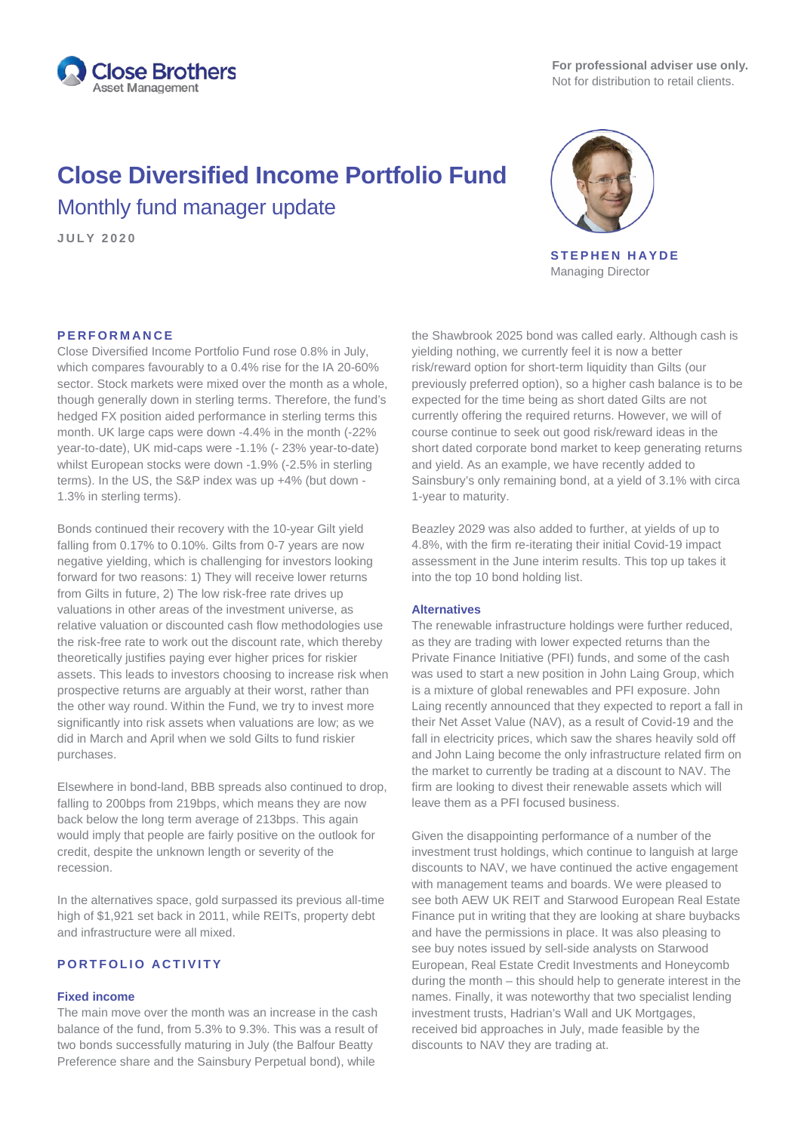

# **Close Diversified Income Portfolio Fund** Monthly fund manager update

**J U L Y 2020**



**STEPHEN HAYDE** Managing Director

#### **PERFORMANCE**

Close Diversified Income Portfolio Fund rose 0.8% in July, which compares favourably to a 0.4% rise for the IA 20-60% sector. Stock markets were mixed over the month as a whole, though generally down in sterling terms. Therefore, the fund's hedged FX position aided performance in sterling terms this month. UK large caps were down -4.4% in the month (-22% year-to-date), UK mid-caps were -1.1% (- 23% year-to-date) whilst European stocks were down -1.9% (-2.5% in sterling terms). In the US, the S&P index was up +4% (but down - 1.3% in sterling terms).

Bonds continued their recovery with the 10-year Gilt yield falling from 0.17% to 0.10%. Gilts from 0-7 years are now negative yielding, which is challenging for investors looking forward for two reasons: 1) They will receive lower returns from Gilts in future, 2) The low risk-free rate drives up valuations in other areas of the investment universe, as relative valuation or discounted cash flow methodologies use the risk-free rate to work out the discount rate, which thereby theoretically justifies paying ever higher prices for riskier assets. This leads to investors choosing to increase risk when prospective returns are arguably at their worst, rather than the other way round. Within the Fund, we try to invest more significantly into risk assets when valuations are low; as we did in March and April when we sold Gilts to fund riskier purchases.

Elsewhere in bond-land, BBB spreads also continued to drop, falling to 200bps from 219bps, which means they are now back below the long term average of 213bps. This again would imply that people are fairly positive on the outlook for credit, despite the unknown length or severity of the recession.

In the alternatives space, gold surpassed its previous all-time high of \$1,921 set back in 2011, while REITs, property debt and infrastructure were all mixed.

## **PORTFOLIO ACTIVITY**

#### **Fixed income**

The main move over the month was an increase in the cash balance of the fund, from 5.3% to 9.3%. This was a result of two bonds successfully maturing in July (the Balfour Beatty Preference share and the Sainsbury Perpetual bond), while

the Shawbrook 2025 bond was called early. Although cash is yielding nothing, we currently feel it is now a better risk/reward option for short-term liquidity than Gilts (our previously preferred option), so a higher cash balance is to be expected for the time being as short dated Gilts are not currently offering the required returns. However, we will of course continue to seek out good risk/reward ideas in the short dated corporate bond market to keep generating returns and yield. As an example, we have recently added to Sainsbury's only remaining bond, at a yield of 3.1% with circa 1-year to maturity.

Beazley 2029 was also added to further, at yields of up to 4.8%, with the firm re-iterating their initial Covid-19 impact assessment in the June interim results. This top up takes it into the top 10 bond holding list.

#### **Alternatives**

The renewable infrastructure holdings were further reduced, as they are trading with lower expected returns than the Private Finance Initiative (PFI) funds, and some of the cash was used to start a new position in John Laing Group, which is a mixture of global renewables and PFI exposure. John Laing recently announced that they expected to report a fall in their Net Asset Value (NAV), as a result of Covid-19 and the fall in electricity prices, which saw the shares heavily sold off and John Laing become the only infrastructure related firm on the market to currently be trading at a discount to NAV. The firm are looking to divest their renewable assets which will leave them as a PFI focused business.

Given the disappointing performance of a number of the investment trust holdings, which continue to languish at large discounts to NAV, we have continued the active engagement with management teams and boards. We were pleased to see both AEW UK REIT and Starwood European Real Estate Finance put in writing that they are looking at share buybacks and have the permissions in place. It was also pleasing to see buy notes issued by sell-side analysts on Starwood European, Real Estate Credit Investments and Honeycomb during the month – this should help to generate interest in the names. Finally, it was noteworthy that two specialist lending investment trusts, Hadrian's Wall and UK Mortgages, received bid approaches in July, made feasible by the discounts to NAV they are trading at.